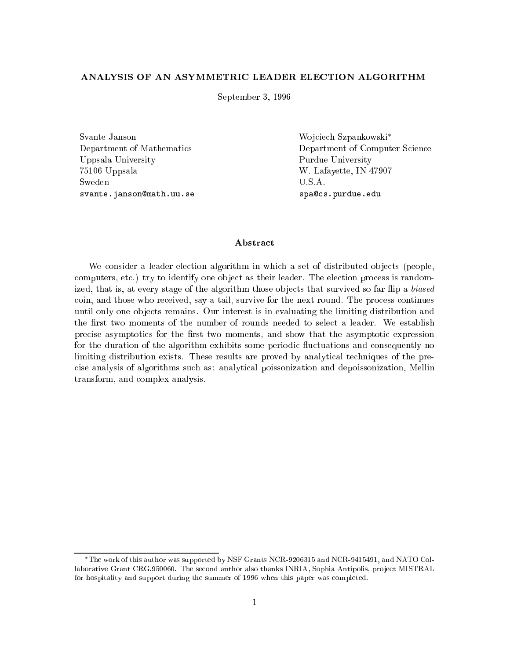#### ANALYSIS OF AN ASYMMETRIC LEADER ELECTION ALGORITHM

September 3, 1996

Uppsala University Purdue University 75106 Uppsala W. Lafayette, IN 47907 Sweden U.S.A. svante.janson@math.uu.se spa@cs.purdue.edu

Svante Janson Wojciech Szpankowski<sup>\*</sup> Department of Mathematics Department of Computer Science

#### Abstract

We consider a leader election algorithm in which a set of distributed objects (people, computers, etc.) try to identify one object as their leader. The election process is randomized, that is, at every stage of the algorithm those objects that survived so far flip a biased coin, and those who received, say a tail, survive for the next round. The process continues until only one objects remains. Our interest is in evaluating the limiting distribution and the first two moments of the number of rounds needed to select a leader. We establish precise asymptotics for the first two moments, and show that the asymptotic expression for the duration of the algorithm exhibits some periodic fluctuations and consequently no limiting distribution exists. These results are proved by analytical techniques of the precise analysis of algorithms such as: analytical poissonization and depoissonization, Mellin transform, and complex analysis.

The work of this author was supported by NSF Grants NCR-9206315 and NCR-9415491, and NATO Collaborative Grant CRG.950060. The second author also thanks INRIA, Sophia Antipolis, project MISTRAL for hospitality and support during the summer of 1996 when this paper was completed.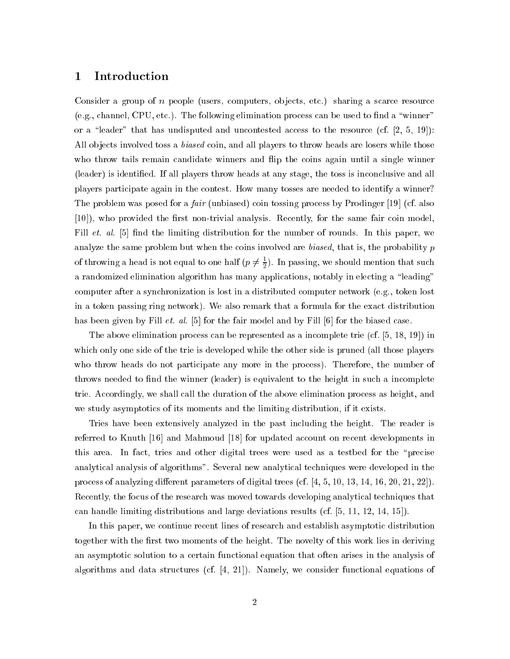### 1 Introduction

Consider a group of n people (users, computers, objects, etc.) sharing a scarce resource (e.g., channel, CPU, etc.). The following elimination process can be used to find a "winner" or a "leader" that has undisputed and uncontested access to the resource (cf.  $[2, 5, 19]$ ): All objects involved toss a *biased* coin, and all players to throw heads are losers while those who throw tails remain candidate winners and flip the coins again until a single winner (leader) is identied. If all players throw heads at any stage, the toss is inconclusive and all players participate again in the contest. How many tosses are needed to identify a winner? The problem was posed for a *fair* (unbiased) coin tossing process by Prodinger [19] (cf. also [10]), who provided the first non-trivial analysis. Recently, for the same fair coin model. Fill *et. al.* [5] find the limiting distribution for the number of rounds. In this paper, we analyze the same problem but when the coins involved are *biased*, that is, the probability  $p$ of throwing a head is not equal to one half ( $p\neq \frac{1}{2}$ ). In passing, we should mention that such a randomized elimination algorithm has many applications, notably in electing a "leading" computer after a synchronization is lost in a distributed computer network (e.g., token lost in a token passing ring network). We also remark that a formula for the exact distribution has been given by Fill *et. al.* [5] for the fair model and by Fill [6] for the biased case.

The above elimination process can be represented as a incomplete trie (cf. [5, 18, 19]) in which only one side of the trie is developed while the other side is pruned (all those players who throw heads do not participate any more in the process). Therefore, the number of throws needed to find the winner (leader) is equivalent to the height in such a incomplete trie. Accordingly, we shall call the duration of the above elimination process as height, and we study asymptotics of its moments and the limiting distribution, if it exists.

Tries have been extensively analyzed in the past including the height. The reader is referred to Knuth [16] and Mahmoud [18] for updated account on recent developments in this area. In fact, tries and other digital trees were used as a testbed for the \precise analytical analysis of algorithms". Several new analytical techniques were developed in the process of analyzing different parameters of digital trees (cf. [4, 5, 10, 13, 14, 16, 20, 21, 22]). Recently, the focus of the research was moved towards developing analytical techniques that can handle limiting distributions and large deviations results (cf. [5, 11, 12, 14, 15]).

In this paper, we continue recent lines of research and establish asymptotic distribution together with the first two moments of the height. The novelty of this work lies in deriving an asymptotic solution to a certain functional equation that often arises in the analysis of algorithms and data structures (cf.  $[4, 21]$ ). Namely, we consider functional equations of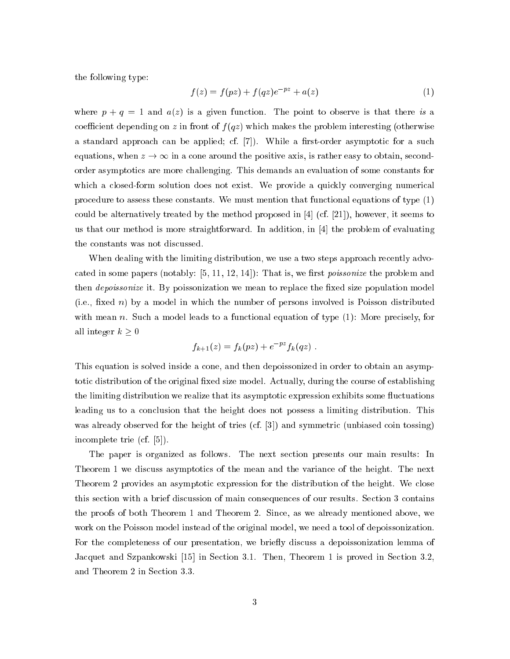the following type:

$$
f(z) = f(pz) + f(qz)e^{-pz} + a(z)
$$
 (1)

where  $p + q = 1$  and  $a(z)$  is a given function. The point to observe is that there is a coefficient depending on z in front of  $f(qz)$  which makes the problem interesting (otherwise a standard approach can be applied; cf. [7]). While a first-order asymptotic for a such equations, when  $z \to \infty$  in a cone around the positive axis, is rather easy to obtain, secondorder asymptotics are more challenging. This demands an evaluation of some constants for which a closed-form solution does not exist. We provide a quickly converging numerical procedure to assess these constants. We must mention that functional equations of type (1) could be alternatively treated by the method proposed in  $[4]$  (cf. [21]), however, it seems to us that our method is more straightforward. In addition, in [4] the problem of evaluating the constants was not discussed.

When dealing with the limiting distribution, we use a two steps approach recently advocated in some papers (notably:  $[5, 11, 12, 14]$ ): That is, we first *poissonize* the problem and then *depoissonize* it. By poissonization we mean to replace the fixed size population model (i.e., fixed  $n$ ) by a model in which the number of persons involved is Poisson distributed with mean n. Such a model leads to a functional equation of type  $(1)$ : More precisely, for all integer  $k \geq 0$ 

$$
f_{k+1}(z) = f_k(pz) + e^{-pz} f_k(qz) .
$$

This equation is solved inside a cone, and then depoissonized in order to obtain an asymptotic distribution of the original fixed size model. Actually, during the course of establishing the limiting distribution we realize that its asymptotic expression exhibits some uctuations leading us to a conclusion that the height does not possess a limiting distribution. This was already observed for the height of tries (cf. [3]) and symmetric (unbiased coin tossing) incomplete trie (cf. [5]).

The paper is organized as follows. The next section presents our main results: In Theorem 1 we discuss asymptotics of the mean and the variance of the height. The next Theorem 2 provides an asymptotic expression for the distribution of the height. We close this section with a brief discussion of main consequences of our results. Section 3 contains the proofs of both Theorem 1 and Theorem 2. Since, as we already mentioned above, we work on the Poisson model instead of the original model, we need a tool of depoissonization. For the completeness of our presentation, we briefly discuss a depoissonization lemma of Jacquet and Szpankowski [15] in Section 3.1. Then, Theorem 1 is proved in Section 3.2, and Theorem 2 in Section 3.3.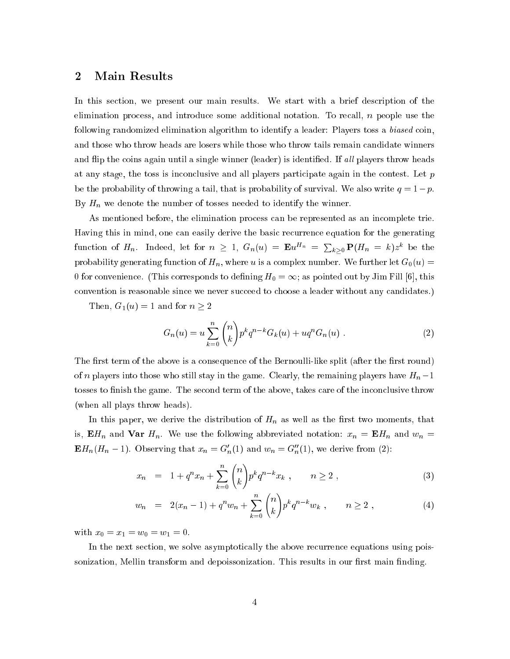## 2 Main Results

In this section, we present our main results. We start with a brief description of the elimination process, and introduce some additional notation. To recall,  $n$  people use the following randomized elimination algorithm to identify a leader: Players toss a biased coin, and those who throw heads are losers while those who throw tails remain candidate winners and flip the coins again until a single winner (leader) is identified. If all players throw heads at any stage, the toss is inconclusive and all players participate again in the contest. Let  $p$ be the probability of throwing a tail, that is probability of survival. We also write  $q = 1-p$ . By  $H_n$  we denote the number of tosses needed to identify the winner.

As mentioned before, the elimination process can be represented as an incomplete trie. Having this in mind, one can easily derive the basic recurrence equation for the generating function of  $H_n$ . Indeed, let for  $n \geq 1$ ,  $G_n(u) = \mathbf{E}u^{H_n} = \sum_{k>0} \mathbf{P}(H_n = k)z^k$  be the probability generating function of  $H_n$ , where u is a complex number. We further let  $G_0(u)$  = 0 for convenience. (This convenience and the decomposition of 1; and pointed out and  $J$  , the fill  $\ell$ convention is reasonable since we never succeed to choose a leader without any candidates.)

Then,  $G_1(u) = 1$  and for  $n \geq 2$ 

$$
G_n(u) = u \sum_{k=0}^n {n \choose k} p^k q^{n-k} G_k(u) + u q^n G_n(u) . \qquad (2)
$$

The first term of the above is a consequence of the Bernoulli-like split (after the first round) of n players into those who still stay in the game. Clearly, the remaining players have  $H_n-1$ tosses to finish the game. The second term of the above, takes care of the inconclusive throw (when all plays throw heads).

In this paper, we derive the distribution of  $H_n$  as well as the first two moments, that is,  $\mathbf{E}H_n$  and  $\mathbf{Var} H_n$ . We use the following abbreviated notation:  $x_n = \mathbf{E}H_n$  and  $w_n =$ **. Observing that**  $x_n = G'_n(1)$  **and**  $w_n = G''_n(1)$ **, we derive from (2):** 

$$
x_n = 1 + q^n x_n + \sum_{k=0}^n \binom{n}{k} p^k q^{n-k} x_k , \qquad n \ge 2 , \qquad (3)
$$

$$
w_n = 2(x_n - 1) + q^n w_n + \sum_{k=0}^n \binom{n}{k} p^k q^{n-k} w_k, \qquad n \ge 2,
$$
 (4)

with  $\mathbf{x} \cdot \mathbf{y} = \mathbf{x} \cdot \mathbf{y}$  , we will define  $\mathbf{y} \cdot \mathbf{y} = \mathbf{y} \cdot \mathbf{y}$ 

In the next section, we solve asymptotically the above recurrence equations using poissonization, Mellin transform and depoissonization. This results in our first main finding.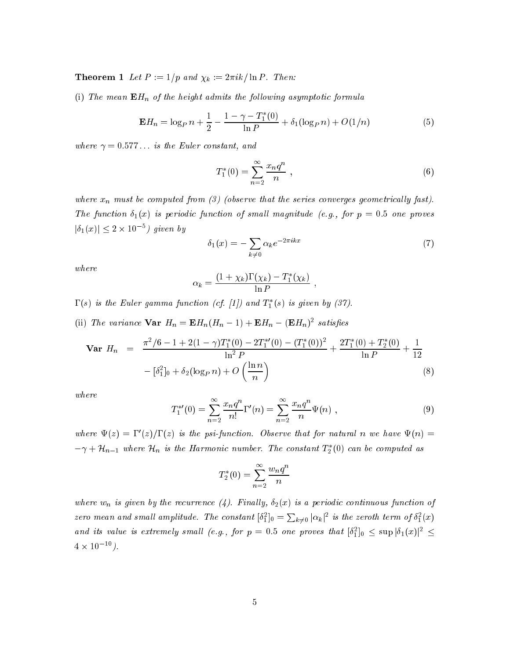**Theorem 1** Let  $P := 1/p$  and  $\chi_k := 2\pi i k/\ln P$ . Then:

(i) The mean  $\mathbf{E}H_n$  of the height admits the following asymptotic formula

$$
\mathbf{E}H_n = \log_P n + \frac{1}{2} - \frac{1 - \gamma - T_1^*(0)}{\ln P} + \delta_1(\log_P n) + O(1/n) \tag{5}
$$

where  $\gamma = 0.577...$  is the Euler constant, and

$$
T_1^*(0) = \sum_{n=2}^{\infty} \frac{x_n q^n}{n} \,, \tag{6}
$$

where  $x_n$  must be computed from (3) (observe that the series converges geometrically fast). The function  $\delta_1(x)$  is periodic function of small magnitude (e.g., for  $p = 0.5$  one proves  $|0_1(x)| \geq 2 \times 10^{-5}$  given by

$$
\delta_1(x) = -\sum_{k \neq 0} \alpha_k e^{-2\pi i k x} \tag{7}
$$

where

$$
\alpha_k = \frac{(1 + \chi_k)\Gamma(\chi_k) - T_1^*(\chi_k)}{\ln P}
$$

 $\Gamma(s)$  is the Euter gamma function  $(cj, [1])$  and  $\Gamma_1(s)$  is given by  $(\beta)$ .

(ii) The variance  $\bf Var H_n = E H_n (H_n - 1) + E H_n - (E H_n)^2$  satisfies

$$
\mathbf{Var} \ H_n \ = \ \frac{\pi^2/6 - 1 + 2(1 - \gamma)T_1^*(0) - 2T_1^{*'}(0) - (T_1^*(0))^2}{\ln^2 P} + \frac{2T_1^*(0) + T_2^*(0)}{\ln P} + \frac{1}{12}
$$
\n
$$
- \left[\delta_1^2\right]_0 + \delta_2(\log_P n) + O\left(\frac{\ln n}{n}\right) \tag{8}
$$

where

$$
T_1^{*'}(0) = \sum_{n=2}^{\infty} \frac{x_n q^n}{n!} \Gamma'(n) = \sum_{n=2}^{\infty} \frac{x_n q^n}{n} \Psi(n) , \qquad (9)
$$

where  $\Psi(z) = 1$  (z)/1(z) is the psi-function. Observe that for natural n we have  $\Psi(n) =$  $-\gamma + \kappa_{n-1}$  where  $\kappa_n$  is the Harmonic number. The constant  $I_2$  (0) can be computed as

$$
T_2^*(0) = \sum_{n=2}^{\infty} \frac{w_n q^n}{n}
$$

where  $w_n$  is given by the recurrence (4). Finally,  $\delta_2(x)$  is a periodic continuous function of zero mean and small amplitude. The constant  $[\delta_1^2]_0 = \sum_{k\neq 0} |\alpha_k|^2$  is the zeroth term of  $\delta_1^2(x)$ and its value is extremely small (e.g., for  $p = 0.5$  one proves that  $[o_1]_0 \leq \sup |o_1(x)|^{-} \leq$ 4 X 10 7.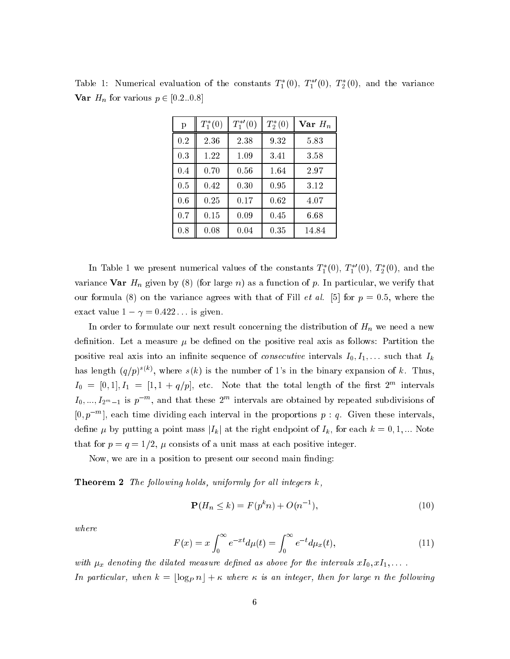| p   | $T_{1}^{*}(0)$ | $T_1^{*'}(0)$ | $T_2^*(0)$ | Var $H_n$ |
|-----|----------------|---------------|------------|-----------|
| 0.2 | 2.36           | 2.38          | 9.32       | 5.83      |
| 0.3 | 1.22           | 1.09          | 3.41       | 3.58      |
| 0.4 | 0.70           | 0.56          | 1.64       | 2.97      |
| 0.5 | 0.42           | 0.30          | 0.95       | 3.12      |
| 0.6 | 0.25           | 0.17          | 0.62       | 4.07      |
| 0.7 | 0.15           | 0.09          | 0.45       | 6.68      |
| 0.8 | 0.08           | 0.04          | 0.35       | 14.84     |

Table 1: Numerical evaluation of the constants  $I_1(0), I_1(0), I_2(0),$  and the variance **Var**  $H_n$  for various  $p \in [0.2...0.8]$ 

In Table 1 we present numerical values of the constants  $I_1(0), I_1(0), I_2(0),$  and the variance Var  $H_n$  given by (8) (for large n) as a function of p. In particular, we verify that our formula (8) on the variance agrees with that of Fill *et al.* [5] for  $p = 0.5$ , where the exact value  $1 - \gamma = 0.422...$  is given.

In order to formulate our next result concerning the distribution of  $H_n$  we need a new definition. Let a measure  $\mu$  be defined on the positive real axis as follows: Partition the positive real axis into an infinite sequence of *consecutive* intervals  $I_0, I_1, \ldots$  such that  $I_k$ has length  $(q/p)^{s(k)}$ , where  $s(k)$  is the number of 1's in the binary expansion of k. Thus,  $I_0 = [0,1], I_1 = [1,1+q/p],$  etc. Trote that the total length of the first  $Z^{**}$  intervals  $I_0, ..., I_{2^m-1}$  is  $p$  . That these  $Z^m$  intervals are obtained by repeated subdivisions of  $[0, p^\frown]$ , each time dividing each interval in the proportions  $p$  :  $q$ . Given these intervals, define  $\mu$  by putting a point mass  $|I_k|$  at the right endpoint of  $I_k$ , for each  $k = 0, 1, ...$  Note that for  $p = q = 1/2$ ,  $\mu$  consists of a unit mass at each positive integer.

Now, we are in a position to present our second main finding:

**Theorem 2** The following holds, uniformly for all integers  $k$ ,

$$
\mathbf{P}(H_n \le k) = F(p^k n) + O(n^{-1}),\tag{10}
$$

where

$$
F(x) = x \int_0^\infty e^{-xt} d\mu(t) = \int_0^\infty e^{-t} d\mu_x(t), \tag{11}
$$

with  $\mu_x$  denoting the dilated measure defined as above for the intervals  $xI_0, xI_1, \ldots$ . In particular, when  $k = \lfloor \log_P n \rfloor + \kappa$  where  $\kappa$  is an integer, then for large n the following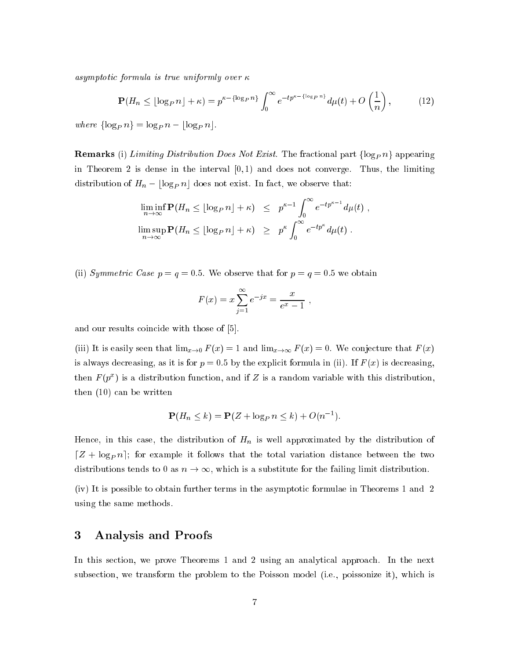asymptotic formula is true uniformly over  $\kappa$ 

$$
\mathbf{P}(H_n \leq \lfloor \log_P n \rfloor + \kappa) = p^{\kappa - \{\log_P n\}} \int_0^\infty e^{-tp^{\kappa - \{\log_P n\}}} d\mu(t) + O\left(\frac{1}{n}\right),\tag{12}
$$

where  $\{\log_P n\} = \log_P n - \lfloor \log_P n \rfloor$ .

**Remarks** (i) Limiting Distribution Does Not Exist. The fractional part  $\{\log_{P} n\}$  appearing in Theorem 2 is dense in the interval  $[0, 1)$  and does not converge. Thus, the limiting distribution of  $H_n - \lfloor \log_P n \rfloor$  does not exist. In fact, we observe that:

$$
\liminf_{n \to \infty} \mathbf{P}(H_n \leq \lfloor \log_P n \rfloor + \kappa) \leq p^{\kappa - 1} \int_0^{\infty} e^{-tp^{\kappa - 1}} d\mu(t) ,
$$
  

$$
\limsup_{n \to \infty} \mathbf{P}(H_n \leq \lfloor \log_P n \rfloor + \kappa) \geq p^{\kappa} \int_0^{\infty} e^{-tp^{\kappa}} d\mu(t) .
$$

(ii) Symmetric Case  $p = q = 0.5$ . We observe that for  $p = q = 0.5$  we obtain

$$
F(x) = x \sum_{j=1}^{\infty} e^{-jx} = \frac{x}{e^x - 1} ,
$$

and our results coincide with those of [5].

(iii) It is easily seen that  $\lim_{x\to 0} F(x) = 1$  and  $\lim_{x\to\infty} F(x) = 0$ . We conjecture that  $F(x)$ is always decreasing, as it is for  $p = 0.5$  by the explicit formula in (ii). If  $F(x)$  is decreasing, then  $F\left(p^{+}\right)$  is a distribution function, and if  $Z$  is a random variable with this distribution, then (10) can be written

$$
\mathbf{P}(H_n \le k) = \mathbf{P}(Z + \log_P n \le k) + O(n^{-1}).
$$

Hence, in this case, the distribution of  $H_n$  is well approximated by the distribution of  $[Z + \log_P n]$ ; for example it follows that the total variation distance between the two distributions tends to 0 as  $n \to \infty$ , which is a substitute for the failing limit distribution.

(iv) It is possible to obtain further terms in the asymptotic formulae in Theorems 1 and 2 using the same methods.

# 3 Analysis and Proofs

In this section, we prove Theorems 1 and 2 using an analytical approach. In the next subsection, we transform the problem to the Poisson model (i.e., poissonize it), which is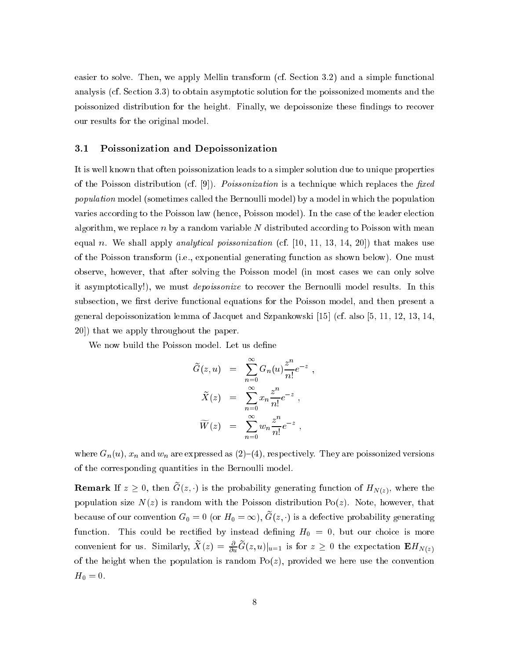easier to solve. Then, we apply Mellin transform (cf. Section 3.2) and a simple functional analysis (cf. Section 3.3) to obtain asymptotic solution for the poissonized moments and the poissonized distribution for the height. Finally, we depoissonize these ndings to recover our results for the original model.

#### 3.1 Poissonization and Depoissonization

It is well known that often poissonization leads to a simpler solution due to unique properties of the Poisson distribution (cf. [9]). *Poissonization* is a technique which replaces the fixed population model (sometimes called the Bernoulli model) by a model in which the population varies according to the Poisson law (hence, Poisson model). In the case of the leader election algorithm, we replace n by a random variable N distributed according to Poisson with mean equal n. We shall apply *analytical poissonization* (cf.  $[10, 11, 13, 14, 20]$ ) that makes use of the Poisson transform (i.e., exponential generating function as shown below). One must observe, however, that after solving the Poisson model (in most cases we can only solve it asymptotically!), we must *depoissonize* to recover the Bernoulli model results. In this subsection, we first derive functional equations for the Poisson model, and then present a general depoissonization lemma of Jacquet and Szpankowski [15] (cf. also [5, 11, 12, 13, 14, 20]) that we apply throughout the paper.

We now build the Poisson model. Let us define

$$
\widetilde{G}(z, u) = \sum_{n=0}^{\infty} G_n(u) \frac{z^n}{n!} e^{-z}
$$

$$
\widetilde{X}(z) = \sum_{n=0}^{\infty} x_n \frac{z^n}{n!} e^{-z},
$$

$$
\widetilde{W}(z) = \sum_{n=0}^{\infty} w_n \frac{z^n}{n!} e^{-z},
$$

where  $G_n(u)$ ,  $x_n$  and  $w_n$  are expressed as  $(2)-(4)$ , respectively. They are poissonized versions of the corresponding quantities in the Bernoulli model.

**Remark** If  $z \geq 0$ , then  $G(z, \cdot)$  is the probability generating function of  $H_{N(z)}$ , where the population size  $N(z)$  is random with the Poisson distribution Po(z). Note, however, that because of our convention  $G_0 = 0$  (or  $H_0 = \infty$ ),  $G(z, \cdot)$  is a defective probability generating function. This could be rectied by instead dening H0 <sup>=</sup> 0, but our choice is more convenient for us. Similarly,  $X(z) = \frac{\partial}{\partial u} G(z, u)|_{u=1}$  is for  $z \geq 0$  the expectation  $\mathbf{E} H_{N(z)}$ of the height when the population is random  $Po(z)$ , provided we here use the convention H0 <sup>=</sup> 0.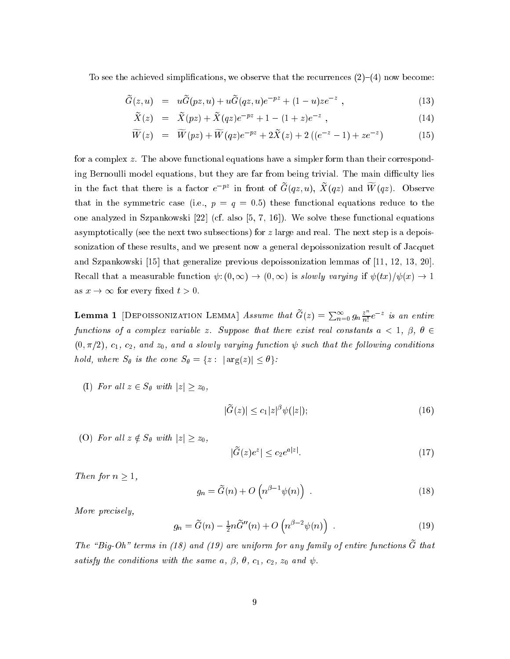To see the achieved simplifications, we observe that the recurrences  $(2)-(4)$  now become:

$$
\tilde{G}(z, u) = u\tilde{G}(pz, u) + u\tilde{G}(qz, u)e^{-pz} + (1 - u)ze^{-z}, \qquad (13)
$$

$$
\tilde{X}(z) = \tilde{X}(pz) + \tilde{X}(qz)e^{-pz} + 1 - (1+z)e^{-z}, \qquad (14)
$$

$$
\widetilde{W}(z) = \widetilde{W}(pz) + \widetilde{W}(qz)e^{-pz} + 2\widetilde{X}(z) + 2\left((e^{-z} - 1) + ze^{-z}\right)
$$
\n(15)

for a complex  $z$ . The above functional equations have a simpler form than their corresponding Bernoulli model equations, but they are far from being trivial. The main difficulty lies In the fact that there is a factor  $e^{-\epsilon x}$  in front of Ge $(gz,u)$ ,  $\Lambda(gz)$  and Wi( $gz$ ). Observe that in the symmetric case (i.e.,  $p = q = 0.5$ ) these functional equations reduce to the one analyzed in Szpankowski [22] (cf. also [5, 7, 16]). We solve these functional equations asymptotically (see the next two subsections) for z large and real. The next step is a depoissonization of these results, and we present now a general depoissonization result of Jacquet and Szpankowski [15] that generalize previous depoissonization lemmas of [11, 12, 13, 20]. Recall that a measurable function  $\psi: (0,\infty) \to (0,\infty)$  is slowly varying if  $\psi(tx)/\psi(x) \to 1$ as  $x \to \infty$  for every fixed  $t > 0$ .

**Lemma 1** [DEPOISSONIZATION LEMMA] Assume that  $G(z) = \sum_{n=0}^{\infty} g_n \frac{z^n}{n!} e^{-z}$  is an entire functions of a complex variable z. Suppose that there exist real constants  $a < 1, \beta, \theta \in$  $(0, \pi/2)$ ,  $c_1$ ,  $c_2$ , and  $z_0$ , and a slowly varying function  $\psi$  such that the following conditions hold, where  $S_{\theta}$  is the cone  $S_{\theta} = \{z : \vert \arg(z) \vert \leq \theta\}.$ 

(I) For all  $z \in S_\theta$  with  $|z| > z_0$ ,

$$
|\tilde{G}(z)| \le c_1 |z|^\beta \psi(|z|); \tag{16}
$$

(O) For all  $z \notin S_{\theta}$  with  $|z| \geq z_0$ ,

$$
|\tilde{G}(z)e^z| \le c_2 e^{a|z|}.\tag{17}
$$

Then for  $n \geq 1$ ,

$$
g_n = \tilde{G}(n) + O\left(n^{\beta - 1} \psi(n)\right) \tag{18}
$$

More precisely,

$$
g_n = \tilde{G}(n) - \frac{1}{2}n\tilde{G}''(n) + O\left(n^{\beta - 2}\psi(n)\right) \tag{19}
$$

The  $\langle Dy$ -Oh  $\langle v \rangle$  terms in (19) and (19) are uniform for any family of entire functions  $G$  that satisfy the conditions with the same and  $\alpha$  and  $\alpha$  and  $\alpha$  and  $\alpha$  and  $\alpha$  and  $\alpha$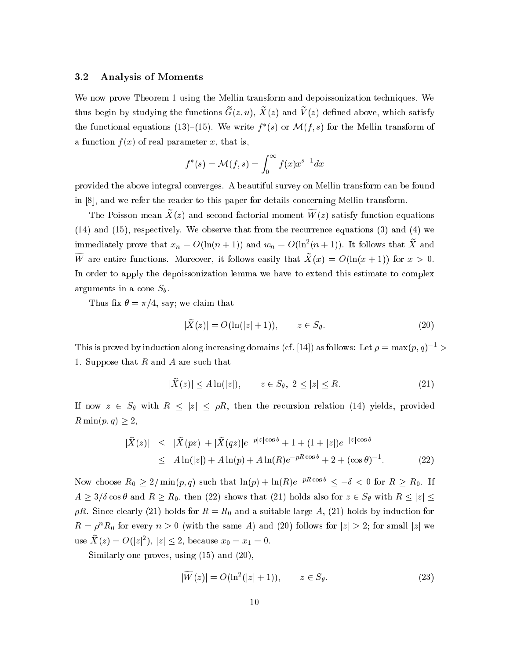#### 3.2 Analysis of Moments

We now prove Theorem 1 using the Mellin transform and depoissonization techniques. We thus begin by studying the functions  $G(z, u)$ ,  $A(z)$  and  $V(z)$  defined above, which satisfy the functional equations (13)–(15). We write f (s) or  $\mathcal{M}(t,s)$  for the Mellin transform of a function  $f(x)$  of real parameter x, that is,

$$
f^*(s) = \mathcal{M}(f, s) = \int_0^\infty f(x) x^{s-1} dx
$$

provided the above integral converges. A beautiful survey on Mellin transform can be found in [8], and we refer the reader to this paper for details concerning Mellin transform.

The Foisson mean  $A(z)$  and second factorial moment W  $(z)$  satisfy function equations (14) and (15), respectively. We observe that from the recurrence equations (3) and (4) we immediately prove that  $x_n = O(\ln(n+1))$  and  $w_n = O(\ln^{-}(n+1))$ . It follows that  $\Lambda$  and We are entire functions. Moreover, it follows easily that  $X(x) = \mathcal{O}(\ln(x+1))$  for  $x \geq 0$ . In order to apply the depoissonization lemma we have to extend this estimate to complex arguments in a cone  $S_{\theta}$ .

Thus fix  $\theta = \pi/4$ , say; we claim that

$$
|X(z)| = O(\ln(|z| + 1)), \qquad z \in S_{\theta}.
$$
 (20)

This is proved by induction along increasing domains (cf. [14]) as follows: Let  $\rho = \max(p, q)^{-1} >$ 1. Suppose that  $R$  and  $A$  are such that

$$
|\widetilde{X}(z)| \le A \ln(|z|), \qquad z \in S_{\theta}, \ 2 \le |z| \le R. \tag{21}
$$

If now  $z \in S_\theta$  with  $R \leq |z| \leq \rho R$ , then the recursion relation (14) yields, provided  $R \min(p, q) \geq 2,$ 

$$
\begin{aligned} |\tilde{X}(z)| &\leq |\tilde{X}(pz)| + |\tilde{X}(qz)|e^{-p|z|\cos\theta} + 1 + (1+|z|)e^{-|z|\cos\theta} \\ &\leq A\ln(|z|) + A\ln(p) + A\ln(R)e^{-pR\cos\theta} + 2 + (\cos\theta)^{-1} . \end{aligned} \tag{22}
$$

Now choose  $R_0 \geq 2/$  min(p; q) such that  $\ln(p) + \ln(R)e^{-r}$   $\leq$   $\leq$   $\infty$  of  $0$  for  $R \geq R_0$ . If  $A \geq 3/\delta \cos \theta$  and  $R \geq R_0$ , then (22) shows that (21) holds also for  $z \in S_\theta$  with  $R \leq |z| \leq$  $\mathcal{L}$  and  $\mathcal{L}$  are recorded to the RN and a suitable large  $\mathcal{L}$  (21) the suitable form for form for  $\mathcal{L}$  $R = \rho/R_0$  for every  $n \geq 0$  (with the same A) and (20) follows for  $|z| \geq 2$ ; for small  $|z|$  we use  $\Lambda(z) = O(|z|^{-}$ ,  $|z| \geq 2$ , because  $x_0 = x_1 = 0$ .

Similarly one proves, using (15) and (20),

$$
|\widetilde{W}(z)| = O(\ln^2(|z|+1)), \qquad z \in S_\theta.
$$
\n
$$
(23)
$$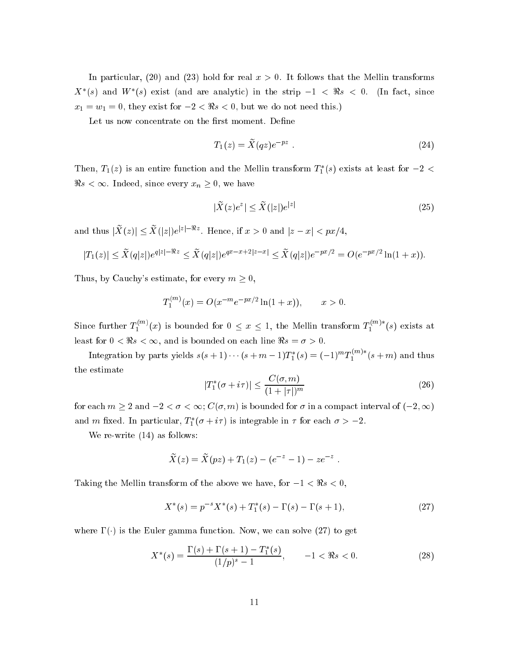In particular, (20) and (23) hold for real  $x > 0$ . It follows that the Mellin transforms  $\Lambda$  (s) and  $W$  (s) exist (and are analytic) in the strip  $-1 < \pi s < 0$ . (In fact, since  $x_{1}$  and  $y_{2}$  are  $y_{3}$  there is no constant the dominant  $y_{3}$  is the second through  $y_{4}$ 

Let us now concentrate on the first moment. Define

$$
T_1(z) = \tilde{X}(qz)e^{-pz} . \tag{24}
$$

Then,  $T_1(z)$  is an entire function and the Mellin transform  $T_1(s)$  exists at least for  $-z <$  $\Re s < \infty$ . Indeed, since every  $x_n \geq 0$ , we have

$$
|\widetilde{X}(z)e^z| \le \widetilde{X}(|z|)e^{|z|} \tag{25}
$$

and thus  $|X(z)| \leq X(|z|)e^{iz}$  for extracted if  $x \geq 0$  and  $|z-x| \leq yx/4$ ,

$$
|T_1(z)| \le \widetilde{X}(q|z|)e^{q|z|-\Re z} \le \widetilde{X}(q|z|)e^{qx-x+2|z-x|} \le \widetilde{X}(q|z|)e^{-px/2} = O(e^{-px/2}\ln(1+x)).
$$

Thus, by Cauchy's estimate, for every  $m \geq 0$ ,

$$
T_1^{(m)}(x) = O(x^{-m}e^{-px/2}\ln(1+x)), \qquad x > 0.
$$

Since further  $T_1^{(m)}(x)$  is bounded for  $0 \le x \le 1$ , the Mellin transform  $T_1^{(m)}$  (s) exists at least for  $0 < \Re s < \infty$ , and is bounded on each line  $\Re s = \sigma > 0$ .

Integration by parts yields  $s(s+1)\cdots(s+m-1)T_1^*(s)=(-1)^mT_1^{\cdots r}$ 1 (s <sup>+</sup> m) and thus the estimate

$$
|T_1^*(\sigma + i\tau)| \le \frac{C(\sigma, m)}{(1+|\tau|)^m} \tag{26}
$$

for each  $m \ge 2$  and  $-2 < \sigma < \infty$ ;  $C(\sigma, m)$  is bounded for  $\sigma$  in a compact interval of  $(-2, \infty)$ and m inxed. In particular,  $I_1(\sigma + i\tau)$  is integrable in  $\tau$  for each  $\sigma > -2$ .

We re-write (14) as follows:

$$
\widetilde{X}(z) = \widetilde{X}(pz) + T_1(z) - (e^{-z} - 1) - ze^{-z}.
$$

Taking the Mellin transform of the above we have, for  $-1 < \Re s < 0$ ,

$$
X^*(s) = p^{-s} X^*(s) + T_1^*(s) - \Gamma(s) - \Gamma(s+1), \tag{27}
$$

where  $\Gamma(\cdot)$  is the Euler gamma function. Now, we can solve (27) to get

$$
X^*(s) = \frac{\Gamma(s) + \Gamma(s+1) - T_1^*(s)}{(1/p)^s - 1}, \qquad -1 < \Re s < 0. \tag{28}
$$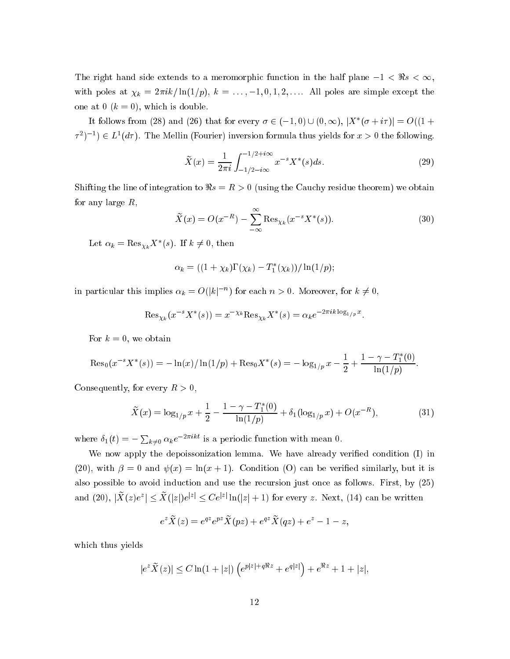The right hand side extends to a meromorphic function in the half plane  $-1 < \Re s < \infty$ , with poles at  $\chi_k = 2\pi i k / \ln(1/p), k = \ldots, -1, 0, 1, 2, \ldots$ . All poles are simple except the one at 0  $(k = 0)$ , which is double.

It follows from (28) and (20) that for every  $\sigma \in (-1,0) \cup (0,\infty)$ ,  $|X|(\sigma+i\tau)| = O((1+\tau))$  $\tau^-$ )  $\tau$ )  $\in$   $L^-(a\tau)$ . The Mellin (Fourier) inversion formula thus yields for  $x>0$  the following.

$$
\widetilde{X}(x) = \frac{1}{2\pi i} \int_{-1/2 - i\infty}^{-1/2 + i\infty} x^{-s} X^*(s) ds.
$$
\n(29)

Shifting the line of integration to  $\Re s = R > 0$  (using the Cauchy residue theorem) we obtain for any large  $R$ ,

$$
\widetilde{X}(x) = O(x^{-R}) - \sum_{-\infty}^{\infty} \text{Res}_{\chi_k}(x^{-s}X^*(s)).
$$
\n(30)

Let  $\alpha_k = \operatorname{Res}_{\chi_k} \Lambda$  (*s*). If  $\kappa \neq 0$ , then

$$
\alpha_k = ((1 + \chi_k)\Gamma(\chi_k) - T_1^*(\chi_k))/\ln(1/p);
$$

In particular this implies  $\alpha_k = O(|\kappa|^{-\alpha})$  for each  $n > 0$ . Moreover, for  $\kappa \neq 0$ ,

$$
\operatorname{Res}_{\chi_k}(x^{-s}X^*(s)) = x^{-\chi_k}\operatorname{Res}_{\chi_k}X^*(s) = \alpha_k e^{-2\pi i k \log_{1/p} x}
$$

For  $k = 0$ , we obtain

$$
\operatorname{Res}_0(x^{-s}X^*(s)) = -\ln(x)/\ln(1/p) + \operatorname{Res}_0X^*(s) = -\log_{1/p}x - \frac{1}{2} + \frac{1-\gamma - T_1^*(0)}{\ln(1/p)}.
$$

Consequently, for every  $R > 0$ ,

$$
\widetilde{X}(x) = \log_{1/p} x + \frac{1}{2} - \frac{1 - \gamma - T_1^*(0)}{\ln(1/p)} + \delta_1(\log_{1/p} x) + O(x^{-R}),\tag{31}
$$

where  $\delta_1(t) = -\sum_{k\neq 0} \alpha_k e^{-2\pi i kt}$  is a periodic function with mean 0.

We now apply the depoissonization lemma. We have already verified condition  $(I)$  in (20), with  $\beta = 0$  and  $\psi(x) = \ln(x + 1)$ . Condition (O) can be verified similarly, but it is also possible to avoid induction and use the recursion just once as follows. First, by (25) and  $\{z0\}$ ,  $\Delta$  ( $z$ )e  $\geq$   $\Delta$  ( $\{z\}$ )e  $\geq$   $\geq$   $\geq$   $\lfloor$   $\ln(|z|+1)$  for every  $z$ . Next, (14) can be written

$$
e^{z}\widetilde{X}(z) = e^{qz}e^{pz}\widetilde{X}(pz) + e^{qz}\widetilde{X}(qz) + e^{z} - 1 - z,
$$

which thus yields

$$
|e^{z}\tilde{X}(z)| \leq C \ln(1+|z|) \left(e^{p|z|+q\Re z}+e^{q|z|}\right)+e^{\Re z}+1+|z|,
$$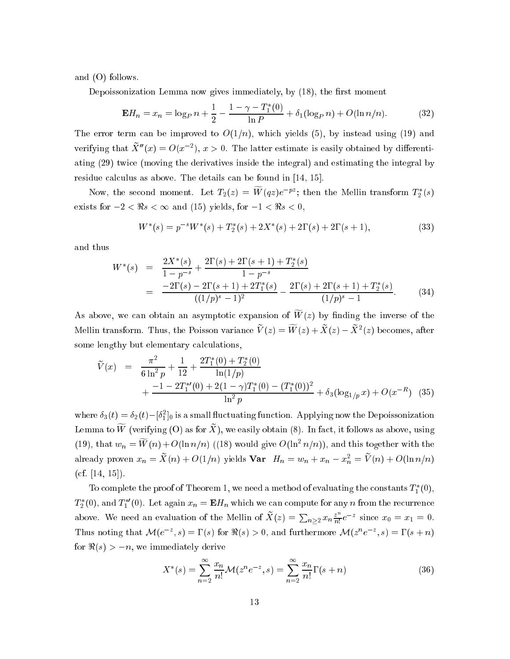and (O) follows.

Depoissonization Lemma now gives immediately, by (18), the first moment

$$
\mathbf{E}H_n = x_n = \log_P n + \frac{1}{2} - \frac{1 - \gamma - T_1^*(0)}{\ln P} + \delta_1(\log_P n) + O(\ln n/n). \tag{32}
$$

The error term can be improved to  $O(1/n)$ , which yields (5), by instead using (19) and verifying that  $X^-(x) = O(x^{-1}), x > 0.$  The latter estimate is easily obtained by differentiating (29) twice (moving the derivatives inside the integral) and estimating the integral by residue calculus as above. The details can be found in [14, 15].

Now, the second moment. Let  $I_2(z) = W(qz)e^{-\epsilon z}$ ; then the Mellin transform  $I_2(s)$ exists for  $-2 < \Re s < \infty$  and (15) yields, for  $-1 < \Re s < 0$ ,

$$
W^*(s) = p^{-s}W^*(s) + T_2^*(s) + 2X^*(s) + 2\Gamma(s) + 2\Gamma(s+1),
$$
\n(33)

and thus

$$
W^*(s) = \frac{2X^*(s)}{1 - p^{-s}} + \frac{2\Gamma(s) + 2\Gamma(s+1) + T_2^*(s)}{1 - p^{-s}}
$$
  
= 
$$
\frac{-2\Gamma(s) - 2\Gamma(s+1) + 2T_1^*(s)}{((1/p)^s - 1)^2} - \frac{2\Gamma(s) + 2\Gamma(s+1) + T_2^*(s)}{(1/p)^s - 1}.
$$
 (34)

As above, we can obtain an asymptotic expansion of  $\widetilde{W}(z)$  by finding the inverse of the Mellin transform. Thus, the Poisson variance  $V(z) = W(z) + \Lambda(z) - \Lambda(z)$  becomes, after some lengthy but elementary calculations,

$$
\tilde{V}(x) = \frac{\pi^2}{6 \ln^2 p} + \frac{1}{12} + \frac{2T_1^*(0) + T_2^*(0)}{\ln(1/p)} \n+ \frac{-1 - 2T_1^{*'}(0) + 2(1 - \gamma)T_1^*(0) - (T_1^*(0))^2}{\ln^2 p} + \delta_3(\log_{1/p} x) + O(x^{-R})
$$
\n(35)

where  $\sigma_3(t) = \sigma_2(t) - [\sigma_1]_0$  is a small nuctuating function. Applying now the Depoissonization Lemma to  $W$  (verhying (O) as for  $X$  ), we easily obtain (8). In fact, it follows as above, using (19), that  $w_n = W(n) + O(\ln n/n)$  ((18) would give  $O(\ln^{-n}/n)$ ), and this together with the already proven  $x_n = X(n) + O(1/n)$  yields  $\textbf{Var}$   $H_n = w_n + x_n - x_n^2 = V(n) + O(\ln n/n)$  $(cf. [14, 15]).$ 

To complete the proof of Theorem 1, we need a method of evaluating the constants  $T_1(0)$ ,  $T_2^*(0)$ , and  $T_1^{*\prime}(0)$ . Let again  $x_n = \mathbf{E} H_n$  which we can compute for any n from the recurrence above. We need an evaluation of the Mellin of  $X(z) = \sum_{n>2} x_n \frac{z^n}{n!} e^{-z}$  since  $x_0 = x_1 = 0$ . Thus noting that  $\mathcal{M}(e^-, s) = \Gamma(s)$  for  $\pi(s) > 0$ , and furthermore  $\mathcal{M}(z^e, e^-, s) = \Gamma(s + n)$ for  $\Re(s) > -n$ , we immediately derive

$$
X^*(s) = \sum_{n=2}^{\infty} \frac{x_n}{n!} \mathcal{M}(z^n e^{-z}, s) = \sum_{n=2}^{\infty} \frac{x_n}{n!} \Gamma(s+n)
$$
(36)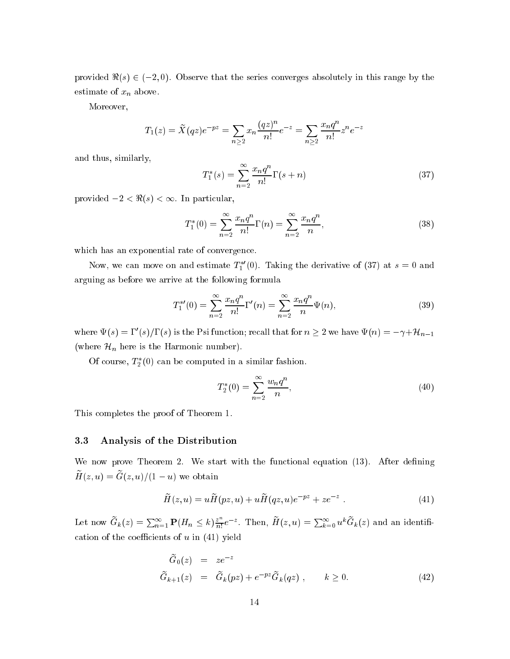provided  $\Re(s) \in (-2, 0)$ . Observe that the series converges absolutely in this range by the estimate of  $x_n$  above.

Moreover,

$$
T_1(z) = \tilde{X}(qz)e^{-pz} = \sum_{n\geq 2} x_n \frac{(qz)^n}{n!} e^{-z} = \sum_{n\geq 2} \frac{x_n q^n}{n!} z^n e^{-z}
$$

and thus, similarly,

$$
T_1^*(s) = \sum_{n=2}^{\infty} \frac{x_n q^n}{n!} \Gamma(s+n)
$$
 (37)

provided  $-2 < \Re(s) < \infty$ . In particular,

$$
T_1^*(0) = \sum_{n=2}^{\infty} \frac{x_n q^n}{n!} \Gamma(n) = \sum_{n=2}^{\infty} \frac{x_n q^n}{n},
$$
\n(38)

which has an exponential rate of convergence.

Now, we can move on and estimate  $T_1$  (0). Taking the derivative of (37) at  $s = 0$  and arguing as before we arrive at the following formula

$$
T_1^{*}(0) = \sum_{n=2}^{\infty} \frac{x_n q^n}{n!} \Gamma'(n) = \sum_{n=2}^{\infty} \frac{x_n q^n}{n} \Psi(n),
$$
\n(39)

where  $\Psi(s) = 1/(s)/1$  (s) is the Psi function; recall that for  $n \geq 2$  we have  $\Psi(n) = -\gamma + n_{n-1}$ (where  $\mathcal{H}_n$  here is the Harmonic number).

Of course,  $T_2$  (0) can be computed in a similar fashion.

$$
T_2^*(0) = \sum_{n=2}^{\infty} \frac{w_n q^n}{n},\tag{40}
$$

This completes the proof of Theorem 1.

#### 3.3 Analysis of the Distribution

We now prove Theorem 2. We start with the functional equation (13). After defining  $H(z, u) = G(z, u)/\left(1 - u\right)$  we obtain

$$
\widetilde{H}(z,u) = u\widetilde{H}(pz,u) + u\widetilde{H}(qz,u)e^{-pz} + ze^{-z} . \qquad (41)
$$

Let now  $G_k(z) = \sum_{n=1}^{\infty} P(H_n \le k) \frac{z^n}{n!} e^{-z}$ . Then,  $H(z, u) = \sum_{k=0}^{\infty} u^k G_k(z)$  and an identification of the coefficients of  $u$  in (41) yield

$$
\widetilde{G}_0(z) = z e^{-z} \n\widetilde{G}_{k+1}(z) = \widetilde{G}_k(pz) + e^{-pz} \widetilde{G}_k(qz) , \qquad k \ge 0.
$$
\n(42)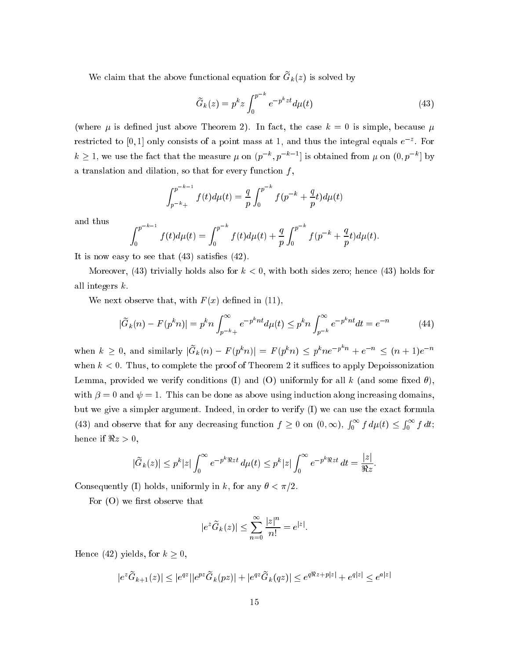we claim that the above functional equation for  $G_k(z)$  is solved by

$$
\widetilde{G}_k(z) = p^k z \int_0^{p^{-k}} e^{-p^k z t} d\mu(t)
$$
\n(43)

(where  $\mu$  is defined just above Theorem 2). In fact, the case  $k = 0$  is simple, because  $\mu$ restricted to  $[0, 1]$  only consists of a point mass at 1, and thus the integral equals  $e^-$  . For  $\kappa > 1$ , we use the fact that the measure  $\mu$  on (pff, pfffff) is obtained from  $\mu$  on (0, pffff) by a translation and dilation, so that for every function  $f$ ,

$$
\int_{p^{-k}+}^{p^{-k-1}} f(t) d\mu(t) = \frac{q}{p} \int_0^{p^{-k}} f(p^{-k} + \frac{q}{p}t) d\mu(t)
$$

and thus

$$
\int_0^{p^{-k-1}} f(t) d\mu(t) = \int_0^{p^{-k}} f(t) d\mu(t) + \frac{q}{p} \int_0^{p^{-k}} f(p^{-k} + \frac{q}{p}t) d\mu(t).
$$

It is now easy to see that  $(43)$  satisfies  $(42)$ .

Moreover,  $(43)$  trivially holds also for  $k < 0$ , with both sides zero; hence  $(43)$  holds for all integers k.

We next observe that, with  $F(x)$  defined in (11),

$$
|\tilde{G}_k(n) - F(p^k n)| = p^k n \int_{p^{-k}+}^{\infty} e^{-p^k nt} d\mu(t) \le p^k n \int_{p^{-k}}^{\infty} e^{-p^k nt} dt = e^{-n}
$$
 (44)

when  $k \geq 0$ , and similarly  $|G_k(n) - F(p^k n)| = F(p^k n) \leq p^k n e^{-p^k n} + e^{-n} \leq (n+1)e^{-n}$ when  $k < 0$ . Thus, to complete the proof of Theorem 2 it suffices to apply Depoissonization Lemma, provided we verify conditions (I) and (O) uniformly for all k (and some fixed  $\theta$ ). with  $\beta = 0$  and  $\psi = 1$ . This can be done as above using induction along increasing domains, but we give a simpler argument. Indeed, in order to verify (I) we can use the exact formula (43) and observe that for any decreasing function  $f \geq 0$  on  $(0, \infty)$ ,  $\int_0^\infty f d\mu(t) \leq$  $r \infty$ 0 dec m hence if  $\Re z > 0$ ,

$$
|\widetilde{G}_k(z)| \le p^k |z| \int_0^\infty e^{-p^k \Re z t} \, d\mu(t) \le p^k |z| \int_0^\infty e^{-p^k \Re z t} \, dt = \frac{|z|}{\Re z}.
$$

Consequently (I) holds, uniformly in k, for any  $\theta < \pi/2$ .

For  $(O)$  we first observe that

$$
|e^z \widetilde{G}_k(z)| \le \sum_{n=0}^{\infty} \frac{|z|^n}{n!} = e^{|z|}.
$$

Hence (42) yields, for  $k \geq 0$ ,

$$
|e^z \widetilde{G}_{k+1}(z)| \le |e^{qz}||e^{pz} \widetilde{G}_k(pz)| + |e^{qz} \widetilde{G}_k(qz)| \le e^{q\Re z + p|z|} + e^{q|z|} \le e^{a|z|}
$$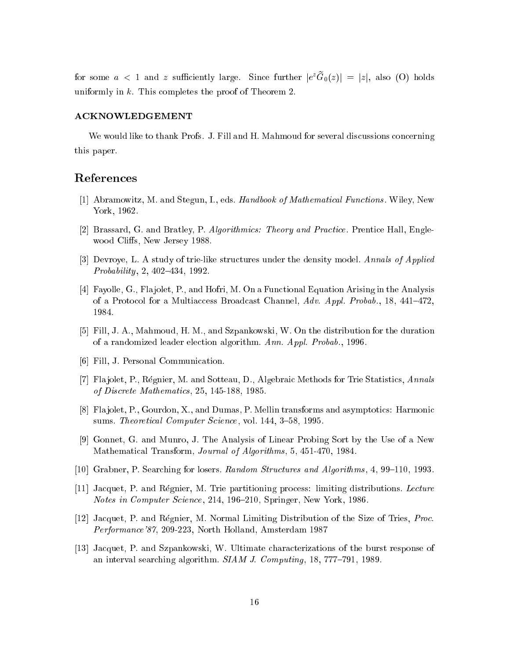for some  $a \leq 1$  and z suniclently large. Since further  $|e|G_0(z)| = |z|$ , also (O) holds uniformly in  $k$ . This completes the proof of Theorem 2.

#### ACKNOWLEDGEMENT

We would like to thank Profs. J. Fill and H. Mahmoud for several discussions concerning this paper.

## References

- [1] Abramowitz, M. and Stegun, I., eds. Handbook of Mathematical Functions . Wiley, New York, 1962.
- [2] Brassard, G. and Bratley, P. Algorithmics: Theory and Practice . Prentice Hall, Englewood Cliffs, New Jersey 1988.
- [3] Devroye, L. A study of trie-like structures under the density model. Annals of Applied  $Probability, 2, 402–434, 1992.$
- [4] Fayolle, G., Flajolet, P., and Hofri, M. On a Functional Equation Arising in the Analysis of a Protocol for a Multiaccess Broadcast Channel, Adv. Appl. Probab., 18,  $441-472$ , 1984.
- [5] Fill, J. A., Mahmoud, H. M., and Szpankowski, W. On the distribution for the duration of a randomized leader election algorithm. Ann. Appl. Probab., 1996.
- [6] Fill, J. Personal Communication.
- [7] Flajolet, P., Régnier, M. and Sotteau, D., Algebraic Methods for Trie Statistics, Annals of Discrete Mathematics, 25, 145-188, 1985.
- [8] Fla jolet, P., Gourdon, X., and Dumas, P. Mellin transforms and asymptotics: Harmonic sums. Theoretical Computer Science, vol. 144, 3-58, 1995.
- [9] Gonnet, G. and Munro, J. The Analysis of Linear Probing Sort by the Use of a New Mathematical Transform, Journal of Algorithms, 5, 451-470, 1984.
- [10] Grabner, P. Searching for losers. Random Structures and Algorithms,  $4, 99-110, 1993$ .
- [11] Jacquet, P. and Regnier, M. Trie partitioning process: limiting distributions. Lecture Notes in Computer Science, 214, 196-210, Springer, New York, 1986.
- [12] Jacquet, P. and Regnier, M. Normal Limiting Distribution of the Size of Tries, Proc. Performance'87, 209-223, North Holland, Amsterdam 1987
- [13] Jacquet, P. and Szpankowski, W. Ultimate characterizations of the burst response of an interval searching algorithm.  $SIAMJ.$  Computing, 18, 777-791, 1989.